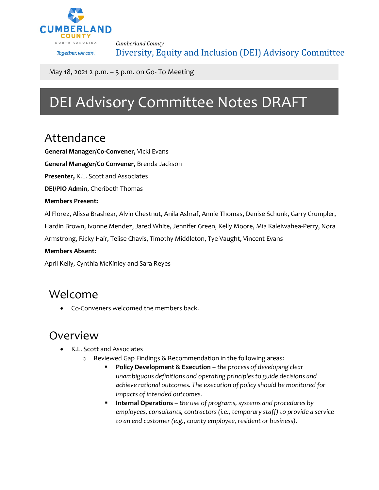

*Cumberland County* Diversity, Equity and Inclusion (DEI) Advisory Committee

May 18, 2021 2 p.m. – 5 p.m. on Go- To Meeting

# DEI Advisory Committee Notes DRAFT

### Attendance

**General Manager/Co-Convener,** Vicki Evans

**General Manager/Co Convener,** Brenda Jackson

**Presenter,** K.L. Scott and Associates

**DEI/PIO Admin**, Cheribeth Thomas

#### **Members Present:**

Al Florez, Alissa Brashear, Alvin Chestnut, Anila Ashraf, Annie Thomas, Denise Schunk, Garry Crumpler,

Hardin Brown, Ivonne Mendez, Jared White, Jennifer Green, Kelly Moore, Mia Kaleiwahea-Perry, Nora

Armstrong, Ricky Hair, Telise Chavis, Timothy Middleton, Tye Vaught, Vincent Evans

#### **Members Absent:**

April Kelly, Cynthia McKinley and Sara Reyes

### Welcome

• Co-Conveners welcomed the members back.

#### Overview

- K.L. Scott and Associates
	- o Reviewed Gap Findings & Recommendation in the following areas:
		- **Policy Development & Execution** *the process of developing clear unambiguous definitions and operating principles to guide decisions and achieve rational outcomes. The execution of policy should be monitored for impacts of intended outcomes.*
		- **Internal Operations** *the use of programs, systems and procedures by employees, consultants, contractors (i.e., temporary staff) to provide a service to an end customer (e.g., county employee, resident or business).*